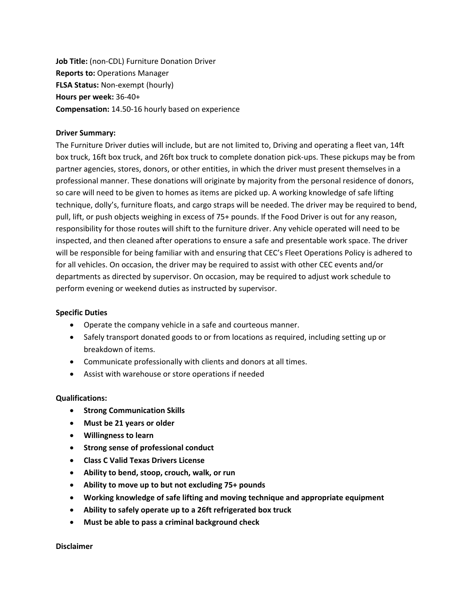**Job Title:** (non-CDL) Furniture Donation Driver **Reports to:** Operations Manager **FLSA Status:** Non-exempt (hourly) **Hours per week:** 36-40+ **Compensation:** 14.50-16 hourly based on experience

## **Driver Summary:**

The Furniture Driver duties will include, but are not limited to, Driving and operating a fleet van, 14ft box truck, 16ft box truck, and 26ft box truck to complete donation pick-ups. These pickups may be from partner agencies, stores, donors, or other entities, in which the driver must present themselves in a professional manner. These donations will originate by majority from the personal residence of donors, so care will need to be given to homes as items are picked up. A working knowledge of safe lifting technique, dolly's, furniture floats, and cargo straps will be needed. The driver may be required to bend, pull, lift, or push objects weighing in excess of 75+ pounds. If the Food Driver is out for any reason, responsibility for those routes will shift to the furniture driver. Any vehicle operated will need to be inspected, and then cleaned after operations to ensure a safe and presentable work space. The driver will be responsible for being familiar with and ensuring that CEC's Fleet Operations Policy is adhered to for all vehicles. On occasion, the driver may be required to assist with other CEC events and/or departments as directed by supervisor. On occasion, may be required to adjust work schedule to perform evening or weekend duties as instructed by supervisor.

## **Specific Duties**

- Operate the company vehicle in a safe and courteous manner.
- Safely transport donated goods to or from locations as required, including setting up or breakdown of items.
- Communicate professionally with clients and donors at all times.
- Assist with warehouse or store operations if needed

## **Qualifications:**

- **Strong Communication Skills**
- **Must be 21 years or older**
- **Willingness to learn**
- **Strong sense of professional conduct**
- **Class C Valid Texas Drivers License**
- **Ability to bend, stoop, crouch, walk, or run**
- **Ability to move up to but not excluding 75+ pounds**
- **Working knowledge of safe lifting and moving technique and appropriate equipment**
- **Ability to safely operate up to a 26ft refrigerated box truck**
- **Must be able to pass a criminal background check**

**Disclaimer**